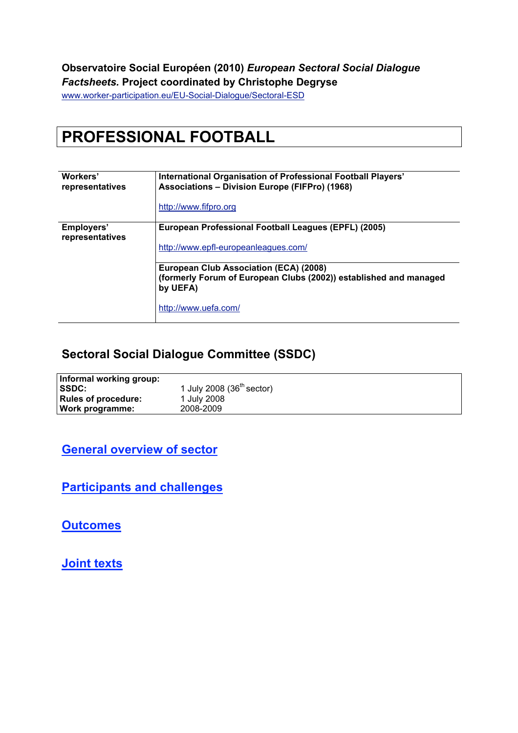#### **Observatoire Social Européen (2010)** *European Sectoral Social Dialogue Factsheets.* **Project coordinated by Christophe Degryse**

www.worker-participation.eu/EU-Social-Dialogue/Sectoral-ESD

# **PROFESSIONAL FOOTBALL**

| Workers'<br>representatives   | International Organisation of Professional Football Players'<br><b>Associations - Division Europe (FIFPro) (1968)</b><br>http://www.fifpro.org |  |
|-------------------------------|------------------------------------------------------------------------------------------------------------------------------------------------|--|
| Employers'<br>representatives | European Professional Football Leagues (EPFL) (2005)<br>http://www.epfl-europeanleagues.com/                                                   |  |
|                               | European Club Association (ECA) (2008)<br>(formerly Forum of European Clubs (2002)) established and managed<br>by UEFA)                        |  |
|                               | http://www.uefa.com/                                                                                                                           |  |

#### **Sectoral Social Dialogue Committee (SSDC)**

| Informal working group:    |                              |
|----------------------------|------------------------------|
| <b>SSDC:</b>               | 1 July 2008 (36 $th$ sector) |
| <b>Rules of procedure:</b> | 1 July 2008                  |
| Work programme:            | 2008-2009                    |
|                            |                              |

**General overview of sector**

**Participants and challenges**

**Outcomes**

**Joint texts**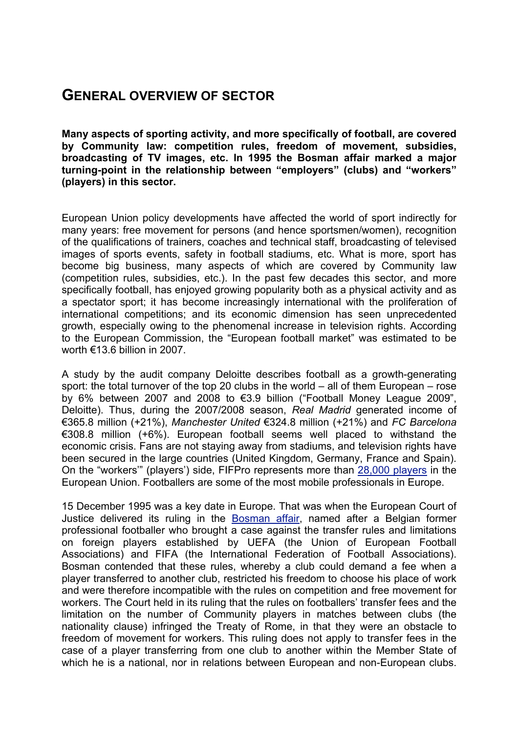## **GENERAL OVERVIEW OF SECTOR**

**Many aspects of sporting activity, and more specifically of football, are covered by Community law: competition rules, freedom of movement, subsidies, broadcasting of TV images, etc. In 1995 the Bosman affair marked a major turning-point in the relationship between "employers" (clubs) and "workers" (players) in this sector.**

European Union policy developments have affected the world of sport indirectly for many years: free movement for persons (and hence sportsmen/women), recognition of the qualifications of trainers, coaches and technical staff, broadcasting of televised images of sports events, safety in football stadiums, etc. What is more, sport has become big business, many aspects of which are covered by Community law (competition rules, subsidies, etc.). In the past few decades this sector, and more specifically football, has enjoyed growing popularity both as a physical activity and as a spectator sport; it has become increasingly international with the proliferation of international competitions; and its economic dimension has seen unprecedented growth, especially owing to the phenomenal increase in television rights. According to the European Commission, the "European football market" was estimated to be worth €13.6 billion in 2007.

A study by the audit company Deloitte describes football as a growth-generating sport: the total turnover of the top 20 clubs in the world – all of them European – rose by 6% between 2007 and 2008 to €3.9 billion ("Football Money League 2009", Deloitte). Thus, during the 2007/2008 season, *Real Madrid* generated income of €365.8 million (+21%), *Manchester United* €324.8 million (+21%) and *FC Barcelona* €308.8 million (+6%). European football seems well placed to withstand the economic crisis. Fans are not staying away from stadiums, and television rights have been secured in the large countries (United Kingdom, Germany, France and Spain). On the "workers'" (players') side, FIFPro represents more than 28,000 players in the European Union. Footballers are some of the most mobile professionals in Europe.

15 December 1995 was a key date in Europe. That was when the European Court of Justice delivered its ruling in the **Bosman affair**, named after a Belgian former professional footballer who brought a case against the transfer rules and limitations on foreign players established by UEFA (the Union of European Football Associations) and FIFA (the International Federation of Football Associations). Bosman contended that these rules, whereby a club could demand a fee when a player transferred to another club, restricted his freedom to choose his place of work and were therefore incompatible with the rules on competition and free movement for workers. The Court held in its ruling that the rules on footballers' transfer fees and the limitation on the number of Community players in matches between clubs (the nationality clause) infringed the Treaty of Rome, in that they were an obstacle to freedom of movement for workers. This ruling does not apply to transfer fees in the case of a player transferring from one club to another within the Member State of which he is a national, nor in relations between European and non-European clubs.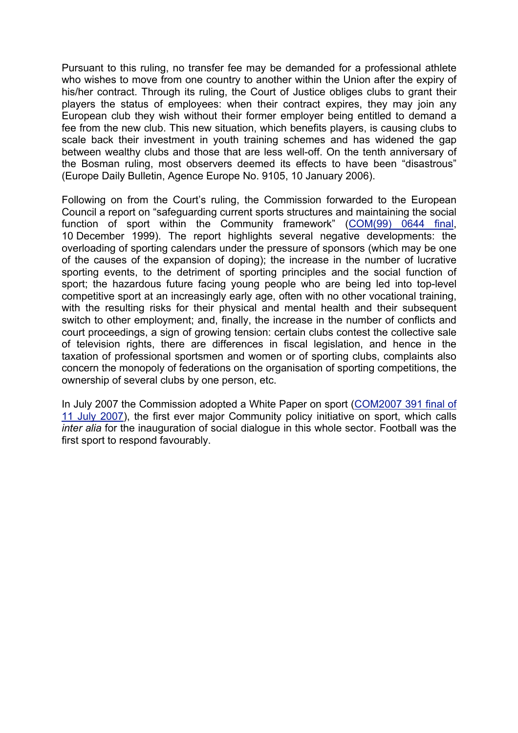Pursuant to this ruling, no transfer fee may be demanded for a professional athlete who wishes to move from one country to another within the Union after the expiry of his/her contract. Through its ruling, the Court of Justice obliges clubs to grant their players the status of employees: when their contract expires, they may join any European club they wish without their former employer being entitled to demand a fee from the new club. This new situation, which benefits players, is causing clubs to scale back their investment in youth training schemes and has widened the gap between wealthy clubs and those that are less well-off. On the tenth anniversary of the Bosman ruling, most observers deemed its effects to have been "disastrous" (Europe Daily Bulletin, Agence Europe No. 9105, 10 January 2006).

Following on from the Court's ruling, the Commission forwarded to the European Council a report on "safeguarding current sports structures and maintaining the social function of sport within the Community framework" (COM(99) 0644 final, 10 December 1999). The report highlights several negative developments: the overloading of sporting calendars under the pressure of sponsors (which may be one of the causes of the expansion of doping); the increase in the number of lucrative sporting events, to the detriment of sporting principles and the social function of sport; the hazardous future facing young people who are being led into top-level competitive sport at an increasingly early age, often with no other vocational training, with the resulting risks for their physical and mental health and their subsequent switch to other employment; and, finally, the increase in the number of conflicts and court proceedings, a sign of growing tension: certain clubs contest the collective sale of television rights, there are differences in fiscal legislation, and hence in the taxation of professional sportsmen and women or of sporting clubs, complaints also concern the monopoly of federations on the organisation of sporting competitions, the ownership of several clubs by one person, etc.

In July 2007 the Commission adopted a White Paper on sport (COM2007 391 final of 11 July 2007), the first ever major Community policy initiative on sport, which calls *inter alia* for the inauguration of social dialogue in this whole sector. Football was the first sport to respond favourably.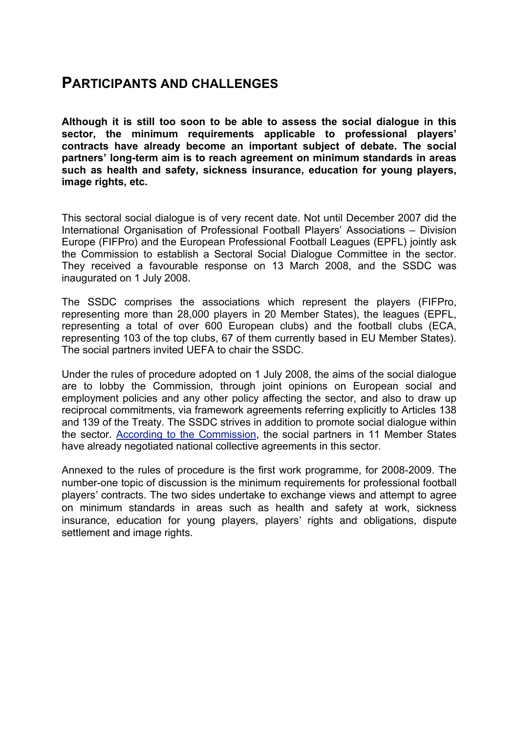#### **PARTICIPANTS AND CHALLENGES**

**Although it is still too soon to be able to assess the social dialogue in this sector, the minimum requirements applicable to professional players' contracts have already become an important subject of debate. The social partners' long-term aim is to reach agreement on minimum standards in areas such as health and safety, sickness insurance, education for young players, image rights, etc.**

This sectoral social dialogue is of very recent date. Not until December 2007 did the International Organisation of Professional Football Players' Associations – Division Europe (FIFPro) and the European Professional Football Leagues (EPFL) jointly ask the Commission to establish a Sectoral Social Dialogue Committee in the sector. They received a favourable response on 13 March 2008, and the SSDC was inaugurated on 1 July 2008.

The SSDC comprises the associations which represent the players (FIFPro, representing more than 28,000 players in 20 Member States), the leagues (EPFL, representing a total of over 600 European clubs) and the football clubs (ECA, representing 103 of the top clubs, 67 of them currently based in EU Member States). The social partners invited UEFA to chair the SSDC.

Under the rules of procedure adopted on 1 July 2008, the aims of the social dialogue are to lobby the Commission, through joint opinions on European social and employment policies and any other policy affecting the sector, and also to draw up reciprocal commitments, via framework agreements referring explicitly to Articles 138 and 139 of the Treaty. The SSDC strives in addition to promote social dialogue within the sector. According to the Commission, the social partners in 11 Member States have already negotiated national collective agreements in this sector.

Annexed to the rules of procedure is the first work programme, for 2008-2009. The number-one topic of discussion is the minimum requirements for professional football players' contracts. The two sides undertake to exchange views and attempt to agree on minimum standards in areas such as health and safety at work, sickness insurance, education for young players, players' rights and obligations, dispute settlement and image rights.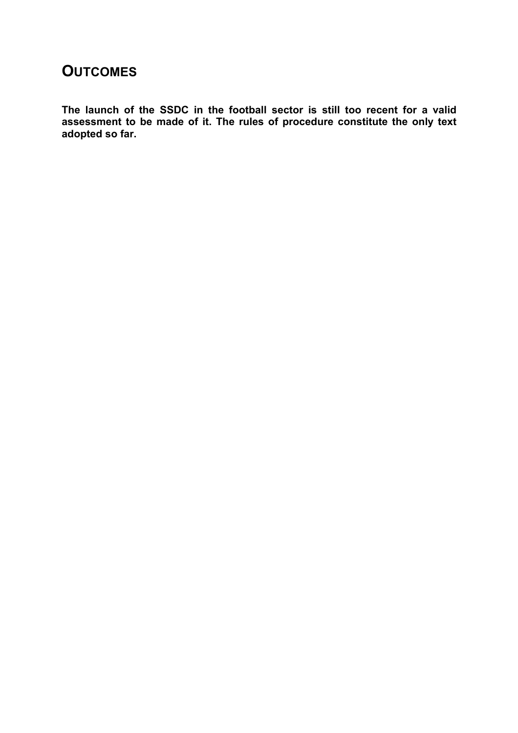### **OUTCOMES**

**The launch of the SSDC in the football sector is still too recent for a valid assessment to be made of it. The rules of procedure constitute the only text adopted so far.**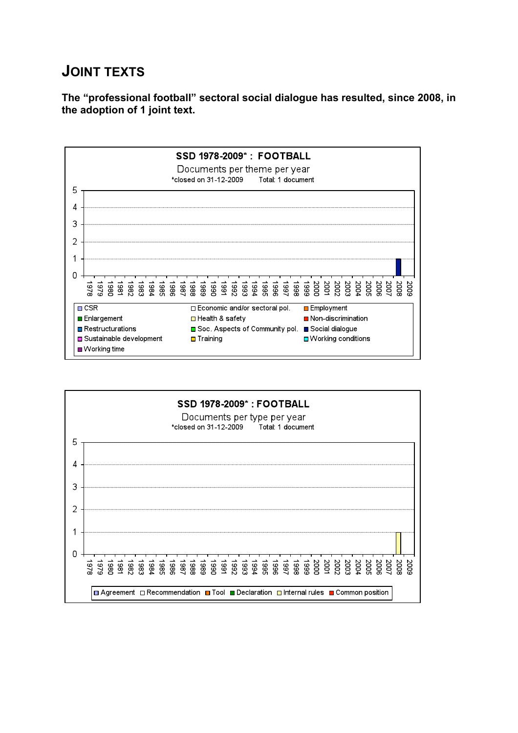# **JOINT TEXTS**

**The "professional football" sectoral social dialogue has resulted, since 2008, in the adoption of 1 joint text.**